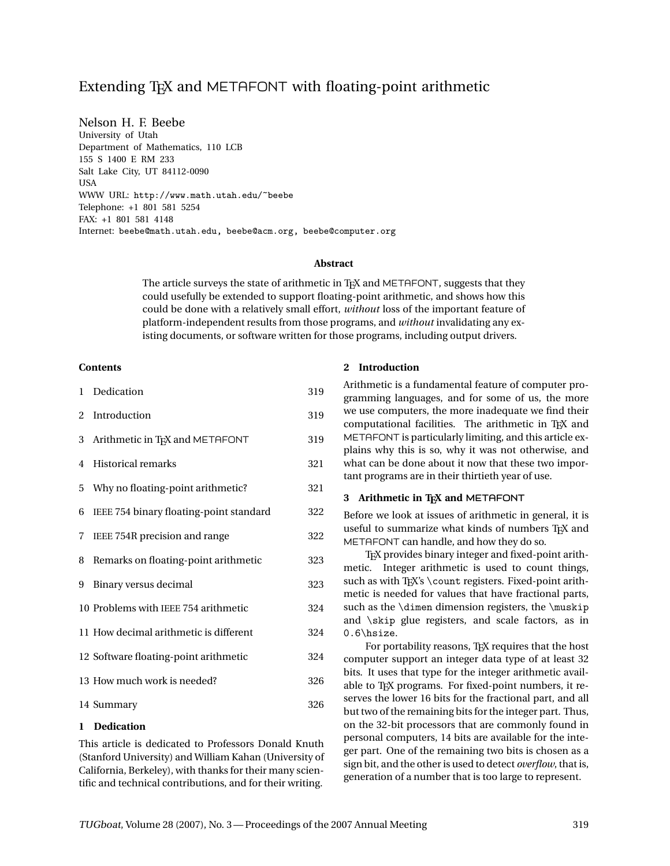# Extending T<sub>F</sub>X and METAFONT with floating-point arithmetic

Nelson H. F. Beebe University of Utah Department of Mathematics, 110 LCB 155 S 1400 E RM 233 Salt Lake City, UT 84112-0090 **USA** WWW URL: http://www.math.utah.edu/~beebe Telephone: +1 801 581 5254 FAX: +1 801 581 4148 Internet: beebe@math.utah.edu, beebe@acm.org, beebe@computer.org

## **Abstract**

The article surveys the state of arithmetic in TEX and METAFONT, suggests that they could usefully be extended to support floating-point arithmetic, and shows how this could be done with a relatively small effort, *without* loss of the important feature of platform-independent results from those programs, and *without* invalidating any existing documents, or software written for those programs, including output drivers.

## **Contents**

| $\mathbf{1}$   | Dedication                              | 319 |
|----------------|-----------------------------------------|-----|
| $\overline{2}$ | Introduction                            | 319 |
| 3              | Arithmetic in TFX and METAFONT          | 319 |
| 4              | <b>Historical remarks</b>               | 321 |
| 5              | Why no floating-point arithmetic?       | 321 |
| 6              | IEEE 754 binary floating-point standard | 322 |
| 7              | IEEE 754R precision and range           | 322 |
| 8              | Remarks on floating-point arithmetic    | 323 |
| 9              | Binary versus decimal                   | 323 |
|                | 10 Problems with IEEE 754 arithmetic    | 324 |
|                | 11 How decimal arithmetic is different  | 324 |
|                | 12 Software floating-point arithmetic   | 324 |
|                | 13 How much work is needed?             | 326 |
|                | 14 Summary                              | 326 |

#### **1 Dedication**

This article is dedicated to Professors Donald Knuth (Stanford University) and William Kahan (University of California, Berkeley), with thanks for their many scientific and technical contributions, and for their writing.

## **2 Introduction**

Arithmetic is a fundamental feature of computer programming languages, and for some of us, the more we use computers, the more inadequate we find their computational facilities. The arithmetic in TEX and METAFONT is particularly limiting, and this article explains why this is so, why it was not otherwise, and what can be done about it now that these two important programs are in their thirtieth year of use.

## **3** Arithmetic in TEX and METAFONT

Before we look at issues of arithmetic in general, it is useful to summarize what kinds of numbers TFX and METAFONT can handle, and how they do so.

T<sub>EX</sub> provides binary integer and fixed-point arithmetic. Integer arithmetic is used to count things, such as with TEX's \count registers. Fixed-point arithmetic is needed for values that have fractional parts, such as the \dimen dimension registers, the \muskip and \skip glue registers, and scale factors, as in 0.6\hsize.

For portability reasons, T<sub>F</sub>X requires that the host computer support an integer data type of at least 32 bits. It uses that type for the integer arithmetic available to T<sub>F</sub>X programs. For fixed-point numbers, it reserves the lower 16 bits for the fractional part, and all but two of the remaining bits for the integer part. Thus, on the 32-bit processors that are commonly found in personal computers, 14 bits are available for the integer part. One of the remaining two bits is chosen as a sign bit, and the other is used to detect *overflow*, that is, generation of a number that is too large to represent.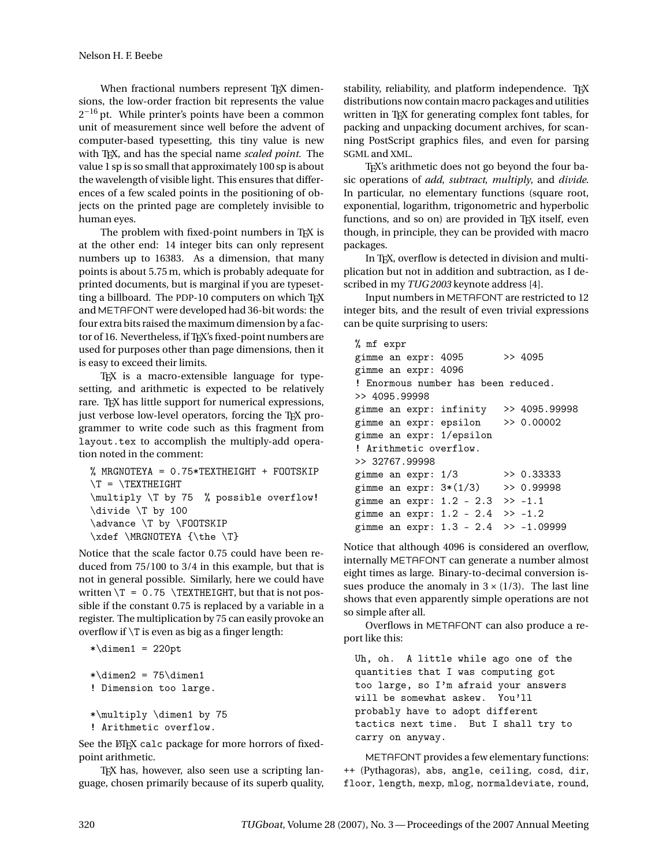When fractional numbers represent TFX dimensions, the low-order fraction bit represents the value  $2^{-16}$  pt. While printer's points have been a common unit of measurement since well before the advent of computer-based typesetting, this tiny value is new with TEX, and has the special name *scaled point*. The value 1 sp is so small that approximately 100 sp is about the wavelength of visible light. This ensures that differences of a few scaled points in the positioning of objects on the printed page are completely invisible to human eyes.

The problem with fixed-point numbers in TFX is at the other end: 14 integer bits can only represent numbers up to 16383. As a dimension, that many points is about 5.75 m, which is probably adequate for printed documents, but is marginal if you are typesetting a billboard. The PDP-10 computers on which TFX and METAFONT were developed had 36-bit words: the four extra bits raised the maximum dimension by a factor of 16. Nevertheless, if TEX's fixed-point numbers are used for purposes other than page dimensions, then it is easy to exceed their limits.

TEX is a macro-extensible language for typesetting, and arithmetic is expected to be relatively rare. TEX has little support for numerical expressions, just verbose low-level operators, forcing the T<sub>E</sub>X programmer to write code such as this fragment from layout.tex to accomplish the multiply-add operation noted in the comment:

% MRGNOTEYA = 0.75\*TEXTHEIGHT + FOOTSKIP  $\Upsilon = \T \text{EXTHEIGHT}$ \multiply \T by 75 % possible overflow! \divide \T by 100 \advance \T by \FOOTSKIP \xdef \MRGNOTEYA {\the \T}

Notice that the scale factor 0.75 could have been reduced from 75/100 to 3/4 in this example, but that is not in general possible. Similarly, here we could have written  $T = 0.75$  /TEXTHEIGHT, but that is not possible if the constant 0.75 is replaced by a variable in a register. The multiplication by 75 can easily provoke an overflow if \T is even as big as a finger length:

```
*\dimen1 = 220pt*\dimen2 = 75\dimen1! Dimension too large.
```

```
*\multiply \dimen1 by 75
! Arithmetic overflow.
```
See the ET<sub>F</sub>X calc package for more horrors of fixedpoint arithmetic.

T<sub>EX</sub> has, however, also seen use a scripting language, chosen primarily because of its superb quality, stability, reliability, and platform independence. TFX distributions now contain macro packages and utilities written in TEX for generating complex font tables, for packing and unpacking document archives, for scanning PostScript graphics files, and even for parsing SGML and XML.

T<sub>EX</sub>'s arithmetic does not go beyond the four basic operations of *add*, *subtract*, *multiply*, and *divide*. In particular, no elementary functions (square root, exponential, logarithm, trigonometric and hyperbolic functions, and so on) are provided in T<sub>EX</sub> itself, even though, in principle, they can be provided with macro packages.

In T<sub>F</sub>X, overflow is detected in division and multiplication but not in addition and subtraction, as I described in my *TUG 2003* keynote address [4].

Input numbers in METAFONT are restricted to 12 integer bits, and the result of even trivial expressions can be quite surprising to users:

% mf expr gimme an expr: 4095 >> 4095 gimme an expr: 4096 ! Enormous number has been reduced. >> 4095.99998 gimme an expr: infinity >> 4095.99998 gimme an expr: epsilon >> 0.00002 gimme an expr: 1/epsilon ! Arithmetic overflow. >> 32767.99998 gimme an expr: 1/3 >> 0.33333 gimme an expr: 3\*(1/3) >> 0.99998 gimme an expr:  $1.2 - 2.3 \implies -1.1$ gimme an expr: 1.2 - 2.4 >> -1.2 gimme an expr: 1.3 - 2.4 >> -1.09999

Notice that although 4096 is considered an overflow, internally METAFONT can generate a number almost eight times as large. Binary-to-decimal conversion issues produce the anomaly in  $3 \times (1/3)$ . The last line shows that even apparently simple operations are not so simple after all.

Overflows in METAFONT can also produce a report like this:

Uh, oh. A little while ago one of the quantities that I was computing got too large, so I'm afraid your answers will be somewhat askew. You'll probably have to adopt different tactics next time. But I shall try to carry on anyway.

METAFONT provides a few elementary functions: ++ (Pythagoras), abs, angle, ceiling, cosd, dir, floor, length, mexp, mlog, normaldeviate, round,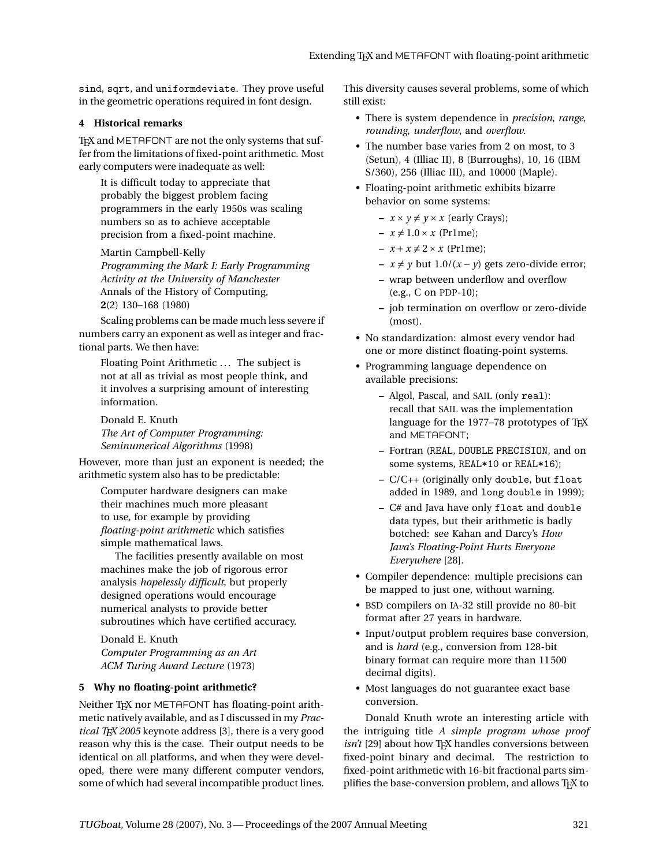sind, sqrt, and uniformdeviate. They prove useful in the geometric operations required in font design.

## **4 Historical remarks**

T<sub>F</sub>X and METAFONT are not the only systems that suffer from the limitations of fixed-point arithmetic. Most early computers were inadequate as well:

It is difficult today to appreciate that probably the biggest problem facing programmers in the early 1950s was scaling numbers so as to achieve acceptable precision from a fixed-point machine.

Martin Campbell-Kelly

*Programming the Mark I: Early Programming Activity at the University of Manchester* Annals of the History of Computing, **2**(2) 130–168 (1980)

Scaling problems can be made much less severe if numbers carry an exponent as well as integer and fractional parts. We then have:

Floating Point Arithmetic ... The subject is not at all as trivial as most people think, and it involves a surprising amount of interesting information.

Donald E. Knuth *The Art of Computer Programming: Seminumerical Algorithms* (1998)

However, more than just an exponent is needed; the arithmetic system also has to be predictable:

Computer hardware designers can make their machines much more pleasant to use, for example by providing *floating-point arithmetic* which satisfies simple mathematical laws.

The facilities presently available on most machines make the job of rigorous error analysis *hopelessly difficult*, but properly designed operations would encourage numerical analysts to provide better subroutines which have certified accuracy.

Donald E. Knuth *Computer Programming as an Art ACM Turing Award Lecture* (1973)

# **5 Why no floating-point arithmetic?**

Neither TEX nor METAFONT has floating-point arithmetic natively available, and as I discussed in my *Practical TEX 2005* keynote address [3], there is a very good reason why this is the case. Their output needs to be identical on all platforms, and when they were developed, there were many different computer vendors, some of which had several incompatible product lines. This diversity causes several problems, some of which still exist:

- There is system dependence in *precision*, *range*, *rounding*, *underflow*, and *overflow*.
- The number base varies from 2 on most, to 3 (Setun), 4 (Illiac II), 8 (Burroughs), 10, 16 (IBM S/360), 256 (Illiac III), and 10000 (Maple).
- Floating-point arithmetic exhibits bizarre behavior on some systems:
	- $x \times y \neq y \times x$  (early Crays);
	- $x \neq 1.0 \times x$  (Pr1me);
	- $x + x \neq 2 \times x$  (Pr1me);
	- $x \neq y$  but 1.0/(*x* − *y*) gets zero-divide error;
	- **–** wrap between underflow and overflow (e.g., C on PDP-10);
	- **–** job termination on overflow or zero-divide (most).
- No standardization: almost every vendor had one or more distinct floating-point systems.
- Programming language dependence on available precisions:
	- **–** Algol, Pascal, and SAIL (only real): recall that SAIL was the implementation language for the 1977–78 prototypes of T<sub>E</sub>X and METAFONT;
	- **–** Fortran (REAL, DOUBLE PRECISION, and on some systems, REAL\*10 or REAL\*16);
	- **–** C/C++ (originally only double, but float added in 1989, and long double in 1999);
	- **–** C# and Java have only float and double data types, but their arithmetic is badly botched: see Kahan and Darcy's *How Java's Floating-Point Hurts Everyone Everywhere* [28].
- Compiler dependence: multiple precisions can be mapped to just one, without warning.
- BSD compilers on IA-32 still provide no 80-bit format after 27 years in hardware.
- Input/output problem requires base conversion, and is *hard* (e.g., conversion from 128-bit binary format can require more than 11 500 decimal digits).
- Most languages do not guarantee exact base conversion.

Donald Knuth wrote an interesting article with the intriguing title *A simple program whose proof isn't* [29] about how T<sub>F</sub>X handles conversions between fixed-point binary and decimal. The restriction to fixed-point arithmetic with 16-bit fractional parts simplifies the base-conversion problem, and allows TFX to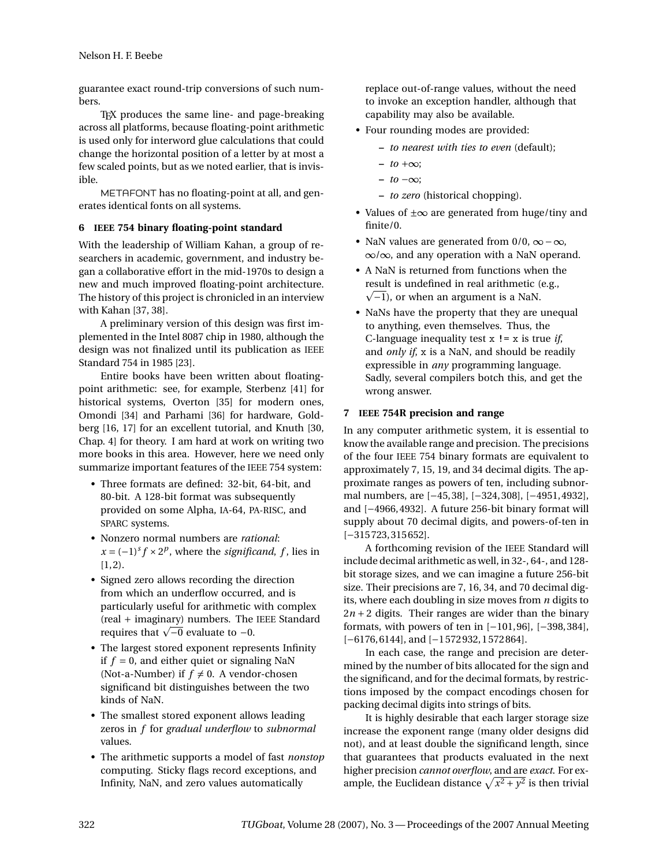guarantee exact round-trip conversions of such numbers.

TEX produces the same line- and page-breaking across all platforms, because floating-point arithmetic is used only for interword glue calculations that could change the horizontal position of a letter by at most a few scaled points, but as we noted earlier, that is invisible.

METAFONT has no floating-point at all, and generates identical fonts on all systems.

## **6 IEEE 754 binary floating-point standard**

With the leadership of William Kahan, a group of researchers in academic, government, and industry began a collaborative effort in the mid-1970s to design a new and much improved floating-point architecture. The history of this project is chronicled in an interview with Kahan [37, 38].

A preliminary version of this design was first implemented in the Intel 8087 chip in 1980, although the design was not finalized until its publication as IEEE Standard 754 in 1985 [23].

Entire books have been written about floatingpoint arithmetic: see, for example, Sterbenz [41] for historical systems, Overton [35] for modern ones, Omondi [34] and Parhami [36] for hardware, Goldberg [16, 17] for an excellent tutorial, and Knuth [30, Chap. 4] for theory. I am hard at work on writing two more books in this area. However, here we need only summarize important features of the IEEE 754 system:

- Three formats are defined: 32-bit, 64-bit, and 80-bit. A 128-bit format was subsequently provided on some Alpha, IA-64, PA-RISC, and SPARC systems.
- Nonzero normal numbers are *rational*:  $x = (-1)^s f \times 2^p$ , where the *significand*, *f*, lies in  $[1, 2)$ .
- Signed zero allows recording the direction from which an underflow occurred, and is particularly useful for arithmetic with complex (real + imaginary) numbers. The IEEE Standard (real + imaginary) numbers. The<br>requires that  $\sqrt{-0}$  evaluate to -0.
- The largest stored exponent represents Infinity if  $f = 0$ , and either quiet or signaling NaN (Not-a-Number) if  $f \neq 0$ . A vendor-chosen significand bit distinguishes between the two kinds of NaN.
- The smallest stored exponent allows leading zeros in *f* for *gradual underflow* to *subnormal* values.
- The arithmetic supports a model of fast *nonstop* computing. Sticky flags record exceptions, and Infinity, NaN, and zero values automatically

replace out-of-range values, without the need to invoke an exception handler, although that capability may also be available.

- Four rounding modes are provided:
	- **–** *to nearest with ties to even* (default);
	- **–** *to* +∞;
	- **–** *to* −∞;
	- **–** *to zero* (historical chopping).
- Values of  $\pm \infty$  are generated from huge/tiny and finite/0.
- NaN values are generated from  $0/0$ ,  $\infty \infty$ , ∞/∞, and any operation with a NaN operand.
- A NaN is returned from functions when the result is undefined in real arithmetic (e.g., p  $\sqrt{-1}$ ), or when an argument is a NaN.
- NaNs have the property that they are unequal to anything, even themselves. Thus, the C-language inequality test x != x is true *if*, and *only if*, x is a NaN, and should be readily expressible in *any* programming language. Sadly, several compilers botch this, and get the wrong answer.

## **7 IEEE 754R precision and range**

In any computer arithmetic system, it is essential to know the available range and precision. The precisions of the four IEEE 754 binary formats are equivalent to approximately 7, 15, 19, and 34 decimal digits. The approximate ranges as powers of ten, including subnormal numbers, are [−45, 38], [−324, 308], [−4951, 4932], and [−4966, 4932]. A future 256-bit binary format will supply about 70 decimal digits, and powers-of-ten in [−315 723, 315 652].

A forthcoming revision of the IEEE Standard will include decimal arithmetic as well, in 32-, 64-, and 128 bit storage sizes, and we can imagine a future 256-bit size. Their precisions are 7, 16, 34, and 70 decimal digits, where each doubling in size moves from *n* digits to  $2n + 2$  digits. Their ranges are wider than the binary formats, with powers of ten in [−101, 96], [−398, 384], [−6176, 6144], and [−1 572 932, 1 572 864].

In each case, the range and precision are determined by the number of bits allocated for the sign and the significand, and for the decimal formats, by restrictions imposed by the compact encodings chosen for packing decimal digits into strings of bits.

It is highly desirable that each larger storage size increase the exponent range (many older designs did not), and at least double the significand length, since that guarantees that products evaluated in the next higher precision *cannot overflow*, and are *exact*. For example, the Euclidean distance  $\sqrt{x^2 + y^2}$  is then trivial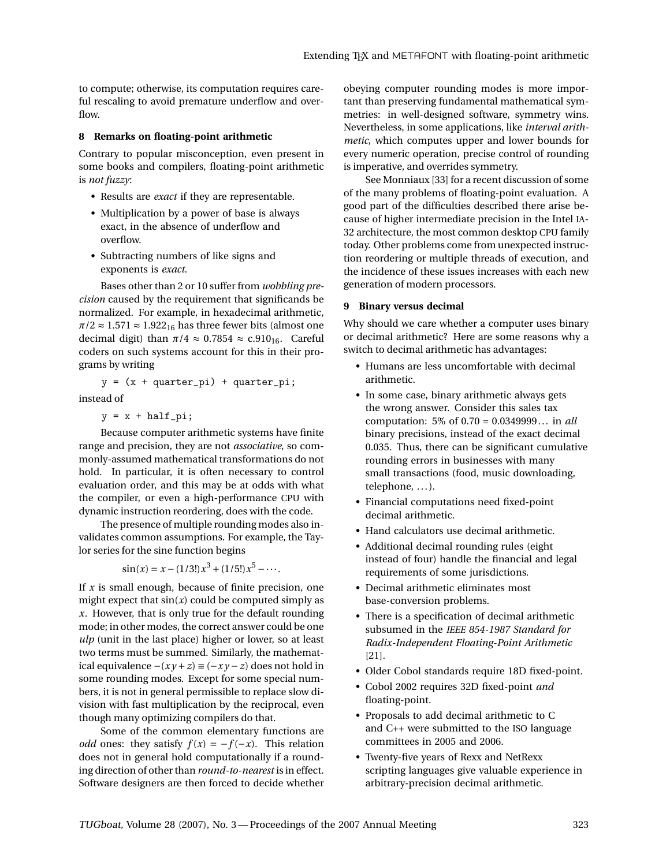to compute; otherwise, its computation requires careful rescaling to avoid premature underflow and overflow.

#### **8 Remarks on floating-point arithmetic**

Contrary to popular misconception, even present in some books and compilers, floating-point arithmetic is *not fuzzy*:

- Results are *exact* if they are representable.
- Multiplication by a power of base is always exact, in the absence of underflow and overflow.
- Subtracting numbers of like signs and exponents is *exact*.

Bases other than 2 or 10 suffer from *wobbling precision* caused by the requirement that significands be normalized. For example, in hexadecimal arithmetic,  $\pi/2 \approx 1.571 \approx 1.922_{16}$  has three fewer bits (almost one decimal digit) than  $\pi/4 \approx 0.7854 \approx \text{c.910}_{16}$ . Careful coders on such systems account for this in their programs by writing

 $y = (x + quarter\_pi) + quarter\_pi;$ instead of

 $y = x + half\_pi;$ 

Because computer arithmetic systems have finite range and precision, they are not *associative*, so commonly-assumed mathematical transformations do not hold. In particular, it is often necessary to control evaluation order, and this may be at odds with what the compiler, or even a high-performance CPU with dynamic instruction reordering, does with the code.

The presence of multiple rounding modes also invalidates common assumptions. For example, the Taylor series for the sine function begins

 $\sin(x) = x - (1/3!)x^3 + (1/5!)x^5 - \cdots$ 

If *x* is small enough, because of finite precision, one might expect that  $sin(x)$  could be computed simply as *x*. However, that is only true for the default rounding mode; in other modes, the correct answer could be one *ulp* (unit in the last place) higher or lower, so at least two terms must be summed. Similarly, the mathematical equivalence  $-(xy + z) \equiv (-xy - z)$  does not hold in some rounding modes. Except for some special numbers, it is not in general permissible to replace slow division with fast multiplication by the reciprocal, even though many optimizing compilers do that.

Some of the common elementary functions are *odd* ones: they satisfy  $f(x) = -f(-x)$ . This relation does not in general hold computationally if a rounding direction of other than *round-to-nearest* is in effect. Software designers are then forced to decide whether obeying computer rounding modes is more important than preserving fundamental mathematical symmetries: in well-designed software, symmetry wins. Nevertheless, in some applications, like *interval arithmetic*, which computes upper and lower bounds for every numeric operation, precise control of rounding is imperative, and overrides symmetry.

See Monniaux [33] for a recent discussion of some of the many problems of floating-point evaluation. A good part of the difficulties described there arise because of higher intermediate precision in the Intel IA-32 architecture, the most common desktop CPU family today. Other problems come from unexpected instruction reordering or multiple threads of execution, and the incidence of these issues increases with each new generation of modern processors.

### **9 Binary versus decimal**

Why should we care whether a computer uses binary or decimal arithmetic? Here are some reasons why a switch to decimal arithmetic has advantages:

- Humans are less uncomfortable with decimal arithmetic.
- In some case, binary arithmetic always gets the wrong answer. Consider this sales tax computation: 5% of 0.70 = 0.0349999... in *all* binary precisions, instead of the exact decimal 0.035. Thus, there can be significant cumulative rounding errors in businesses with many small transactions (food, music downloading, telephone, ...).
- Financial computations need fixed-point decimal arithmetic.
- Hand calculators use decimal arithmetic.
- Additional decimal rounding rules (eight instead of four) handle the financial and legal requirements of some jurisdictions.
- Decimal arithmetic eliminates most base-conversion problems.
- There is a specification of decimal arithmetic subsumed in the *IEEE 854-1987 Standard for Radix-Independent Floating-Point Arithmetic* [21].
- Older Cobol standards require 18D fixed-point.
- Cobol 2002 requires 32D fixed-point *and* floating-point.
- Proposals to add decimal arithmetic to C and C++ were submitted to the ISO language committees in 2005 and 2006.
- Twenty-five years of Rexx and NetRexx scripting languages give valuable experience in arbitrary-precision decimal arithmetic.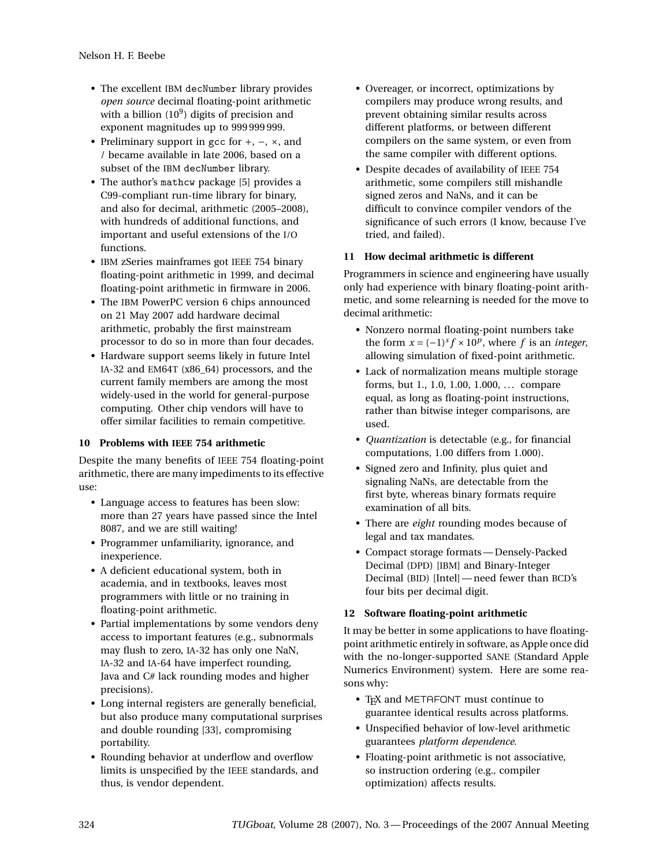- The excellent IBM decNumber library provides *open source* decimal floating-point arithmetic with a billion  $(10^9)$  digits of precision and exponent magnitudes up to 999 999 999.
- Preliminary support in gcc for +, −, ×, and / became available in late 2006, based on a subset of the IBM decNumber library.
- The author's mathcw package [5] provides a C99-compliant run-time library for binary, and also for decimal, arithmetic (2005–2008), with hundreds of additional functions, and important and useful extensions of the I/O functions.
- IBM zSeries mainframes got IEEE 754 binary floating-point arithmetic in 1999, and decimal floating-point arithmetic in firmware in 2006.
- The IBM PowerPC version 6 chips announced on 21 May 2007 add hardware decimal arithmetic, probably the first mainstream processor to do so in more than four decades.
- Hardware support seems likely in future Intel IA-32 and EM64T (x86\_64) processors, and the current family members are among the most widely-used in the world for general-purpose computing. Other chip vendors will have to offer similar facilities to remain competitive.

# **10 Problems with IEEE 754 arithmetic**

Despite the many benefits of IEEE 754 floating-point arithmetic, there are many impediments to its effective use:

- Language access to features has been slow: more than 27 years have passed since the Intel 8087, and we are still waiting!
- Programmer unfamiliarity, ignorance, and inexperience.
- A deficient educational system, both in academia, and in textbooks, leaves most programmers with little or no training in floating-point arithmetic.
- Partial implementations by some vendors deny access to important features (e.g., subnormals may flush to zero, IA-32 has only one NaN, IA-32 and IA-64 have imperfect rounding, Java and C# lack rounding modes and higher precisions).
- Long internal registers are generally beneficial, but also produce many computational surprises and double rounding [33], compromising portability.
- Rounding behavior at underflow and overflow limits is unspecified by the IEEE standards, and thus, is vendor dependent.
- Overeager, or incorrect, optimizations by compilers may produce wrong results, and prevent obtaining similar results across different platforms, or between different compilers on the same system, or even from the same compiler with different options.
- Despite decades of availability of IEEE 754 arithmetic, some compilers still mishandle signed zeros and NaNs, and it can be difficult to convince compiler vendors of the significance of such errors (I know, because I've tried, and failed).

# **11 How decimal arithmetic is different**

Programmers in science and engineering have usually only had experience with binary floating-point arithmetic, and some relearning is needed for the move to decimal arithmetic:

- Nonzero normal floating-point numbers take the form  $x = (-1)^s f \times 10^p$ , where *f* is an *integer*, allowing simulation of fixed-point arithmetic.
- Lack of normalization means multiple storage forms, but 1., 1.0, 1.00, 1.000, . . . compare equal, as long as floating-point instructions, rather than bitwise integer comparisons, are used.
- *Quantization* is detectable (e.g., for financial computations, 1.00 differs from 1.000).
- Signed zero and Infinity, plus quiet and signaling NaNs, are detectable from the first byte, whereas binary formats require examination of all bits.
- There are *eight* rounding modes because of legal and tax mandates.
- Compact storage formats— Densely-Packed Decimal (DPD) [IBM] and Binary-Integer Decimal (BID) [Intel]— need fewer than BCD's four bits per decimal digit.

# **12 Software floating-point arithmetic**

It may be better in some applications to have floatingpoint arithmetic entirely in software, as Apple once did with the no-longer-supported SANE (Standard Apple Numerics Environment) system. Here are some reasons why:

- TEX and METAFONT must continue to guarantee identical results across platforms.
- Unspecified behavior of low-level arithmetic guarantees *platform dependence*.
- Floating-point arithmetic is not associative, so instruction ordering (e.g., compiler optimization) affects results.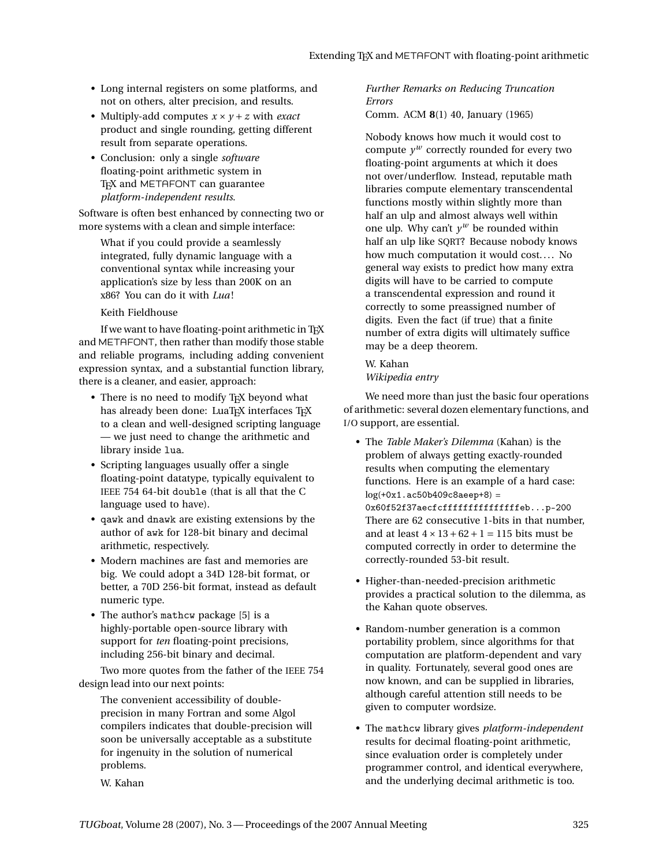- Long internal registers on some platforms, and not on others, alter precision, and results.
- Multiply-add computes  $x \times y + z$  with *exact* product and single rounding, getting different result from separate operations.
- Conclusion: only a single *software* floating-point arithmetic system in T<sub>EX</sub> and METAFONT can guarantee *platform-independent results*.

Software is often best enhanced by connecting two or more systems with a clean and simple interface:

What if you could provide a seamlessly integrated, fully dynamic language with a conventional syntax while increasing your application's size by less than 200K on an x86? You can do it with *Lua* !

Keith Fieldhouse

If we want to have floating-point arithmetic in TEX and METAFONT, then rather than modify those stable and reliable programs, including adding convenient expression syntax, and a substantial function library, there is a cleaner, and easier, approach:

- There is no need to modify TFX beyond what has already been done: LuaTEX interfaces TEX to a clean and well-designed scripting language — we just need to change the arithmetic and library inside lua.
- Scripting languages usually offer a single floating-point datatype, typically equivalent to IEEE 754 64-bit double (that is all that the C language used to have).
- qawk and dnawk are existing extensions by the author of awk for 128-bit binary and decimal arithmetic, respectively.
- Modern machines are fast and memories are big. We could adopt a 34D 128-bit format, or better, a 70D 256-bit format, instead as default numeric type.
- The author's mathcw package [5] is a highly-portable open-source library with support for *ten* floating-point precisions, including 256-bit binary and decimal.

Two more quotes from the father of the IEEE 754 design lead into our next points:

The convenient accessibility of doubleprecision in many Fortran and some Algol compilers indicates that double-precision will soon be universally acceptable as a substitute for ingenuity in the solution of numerical problems.

*Further Remarks on Reducing Truncation Errors*

Comm. ACM **8**(1) 40, January (1965)

Nobody knows how much it would cost to compute  $y^w$  correctly rounded for every two floating-point arguments at which it does not over/underflow. Instead, reputable math libraries compute elementary transcendental functions mostly within slightly more than half an ulp and almost always well within one ulp. Why can't  $y^w$  be rounded within half an ulp like SQRT? Because nobody knows how much computation it would cost.... No general way exists to predict how many extra digits will have to be carried to compute a transcendental expression and round it correctly to some preassigned number of digits. Even the fact (if true) that a finite number of extra digits will ultimately suffice may be a deep theorem.

W. Kahan *Wikipedia entry*

We need more than just the basic four operations of arithmetic: several dozen elementary functions, and I/O support, are essential.

- The *Table Maker's Dilemma* (Kahan) is the problem of always getting exactly-rounded results when computing the elementary functions. Here is an example of a hard case:  $log(+0x1.ac50b409c8aeep+8) =$ 0x60f52f37aecfcfffffffffffffffeb...p-200 There are 62 consecutive 1-bits in that number, and at least  $4 \times 13 + 62 + 1 = 115$  bits must be computed correctly in order to determine the correctly-rounded 53-bit result.
- Higher-than-needed-precision arithmetic provides a practical solution to the dilemma, as the Kahan quote observes.
- Random-number generation is a common portability problem, since algorithms for that computation are platform-dependent and vary in quality. Fortunately, several good ones are now known, and can be supplied in libraries, although careful attention still needs to be given to computer wordsize.
- The mathcw library gives *platform-independent* results for decimal floating-point arithmetic, since evaluation order is completely under programmer control, and identical everywhere, and the underlying decimal arithmetic is too.

W. Kahan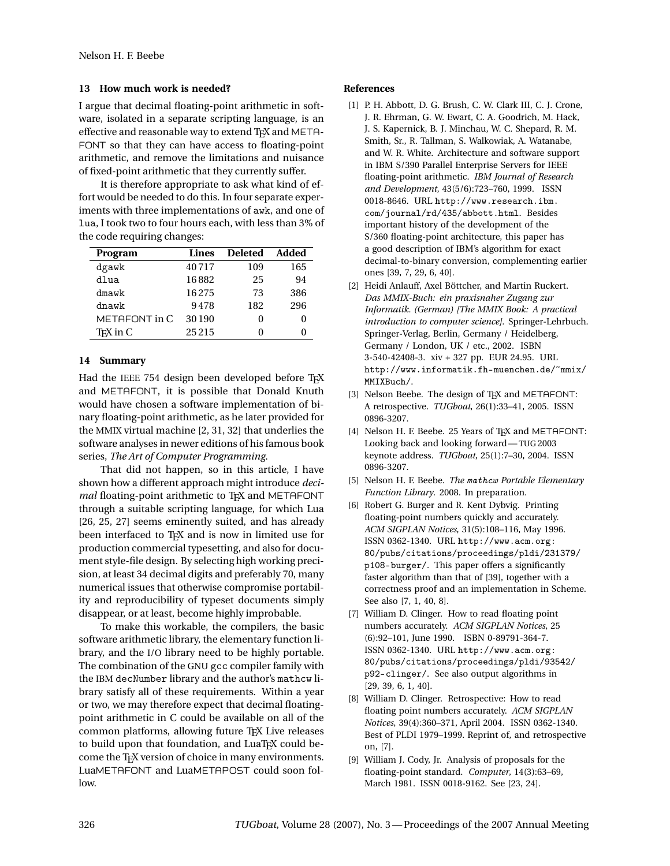# **13 How much work is needed?**

I argue that decimal floating-point arithmetic in software, isolated in a separate scripting language, is an effective and reasonable way to extend TFX and META-FONT so that they can have access to floating-point arithmetic, and remove the limitations and nuisance of fixed-point arithmetic that they currently suffer.

It is therefore appropriate to ask what kind of effort would be needed to do this. In four separate experiments with three implementations of awk, and one of lua, I took two to four hours each, with less than 3% of the code requiring changes:

| Program               | Lines | <b>Deleted</b> | Added |
|-----------------------|-------|----------------|-------|
| dgawk                 | 40717 | 109            | 165   |
| dlua                  | 16882 | 25             | 94    |
| dmawk                 | 16275 | 73             | 386   |
| dnawk                 | 9478  | 182            | 296   |
| METAFONT in C         | 30190 |                |       |
| T <sub>E</sub> X in C | 25215 |                |       |

## **14 Summary**

Had the IEEE 754 design been developed before TFX and METAFONT, it is possible that Donald Knuth would have chosen a software implementation of binary floating-point arithmetic, as he later provided for the MMIX virtual machine [2, 31, 32] that underlies the software analyses in newer editions of his famous book series, *The Art of Computer Programming*.

That did not happen, so in this article, I have shown how a different approach might introduce *decimal* floating-point arithmetic to T<sub>F</sub>X and METAFONT through a suitable scripting language, for which Lua [26, 25, 27] seems eminently suited, and has already been interfaced to TEX and is now in limited use for production commercial typesetting, and also for document style-file design. By selecting high working precision, at least 34 decimal digits and preferably 70, many numerical issues that otherwise compromise portability and reproducibility of typeset documents simply disappear, or at least, become highly improbable.

To make this workable, the compilers, the basic software arithmetic library, the elementary function library, and the I/O library need to be highly portable. The combination of the GNU gcc compiler family with the IBM decNumber library and the author's mathcw library satisfy all of these requirements. Within a year or two, we may therefore expect that decimal floatingpoint arithmetic in C could be available on all of the common platforms, allowing future TEX Live releases to build upon that foundation, and LuaTEX could become the TEX version of choice in many environments. LuaMETAFONT and LuaMETAPOST could soon follow.

## **References**

- [1] P. H. Abbott, D. G. Brush, C. W. Clark III, C. J. Crone, J. R. Ehrman, G. W. Ewart, C. A. Goodrich, M. Hack, J. S. Kapernick, B. J. Minchau, W. C. Shepard, R. M. Smith, Sr., R. Tallman, S. Walkowiak, A. Watanabe, and W. R. White. Architecture and software support in IBM S/390 Parallel Enterprise Servers for IEEE floating-point arithmetic. *IBM Journal of Research and Development*, 43(5/6):723–760, 1999. ISSN 0018-8646. URL http://www.research.ibm. com/journal/rd/435/abbott.html. Besides important history of the development of the S/360 floating-point architecture, this paper has a good description of IBM's algorithm for exact decimal-to-binary conversion, complementing earlier ones [39, 7, 29, 6, 40].
- [2] Heidi Anlauff, Axel Böttcher, and Martin Ruckert. *Das MMIX-Buch: ein praxisnaher Zugang zur Informatik. (German) [The MMIX Book: A practical introduction to computer science]*. Springer-Lehrbuch. Springer-Verlag, Berlin, Germany / Heidelberg, Germany / London, UK / etc., 2002. ISBN 3-540-42408-3. xiv + 327 pp. EUR 24.95. URL http://www.informatik.fh-muenchen.de/~mmix/ MMIXBuch/.
- [3] Nelson Beebe. The design of TEX and METAFONT: A retrospective. *TUGboat*, 26(1):33–41, 2005. ISSN 0896-3207.
- [4] Nelson H. F. Beebe. 25 Years of TEX and METAFONT: Looking back and looking forward—TUG 2003 keynote address. *TUGboat*, 25(1):7–30, 2004. ISSN 0896-3207.
- [5] Nelson H. F. Beebe. *The* mathcw *Portable Elementary Function Library*. 2008. In preparation.
- [6] Robert G. Burger and R. Kent Dybvig. Printing floating-point numbers quickly and accurately. *ACM SIGPLAN Notices*, 31(5):108–116, May 1996. ISSN 0362-1340. URL http://www.acm.org: 80/pubs/citations/proceedings/pldi/231379/ p108-burger/. This paper offers a significantly faster algorithm than that of [39], together with a correctness proof and an implementation in Scheme. See also [7, 1, 40, 8].
- [7] William D. Clinger. How to read floating point numbers accurately. *ACM SIGPLAN Notices*, 25 (6):92–101, June 1990. ISBN 0-89791-364-7. ISSN 0362-1340. URL http://www.acm.org: 80/pubs/citations/proceedings/pldi/93542/ p92-clinger/. See also output algorithms in [29, 39, 6, 1, 40].
- [8] William D. Clinger. Retrospective: How to read floating point numbers accurately. *ACM SIGPLAN Notices*, 39(4):360–371, April 2004. ISSN 0362-1340. Best of PLDI 1979–1999. Reprint of, and retrospective on, [7].
- [9] William J. Cody, Jr. Analysis of proposals for the floating-point standard. *Computer*, 14(3):63–69, March 1981. ISSN 0018-9162. See [23, 24].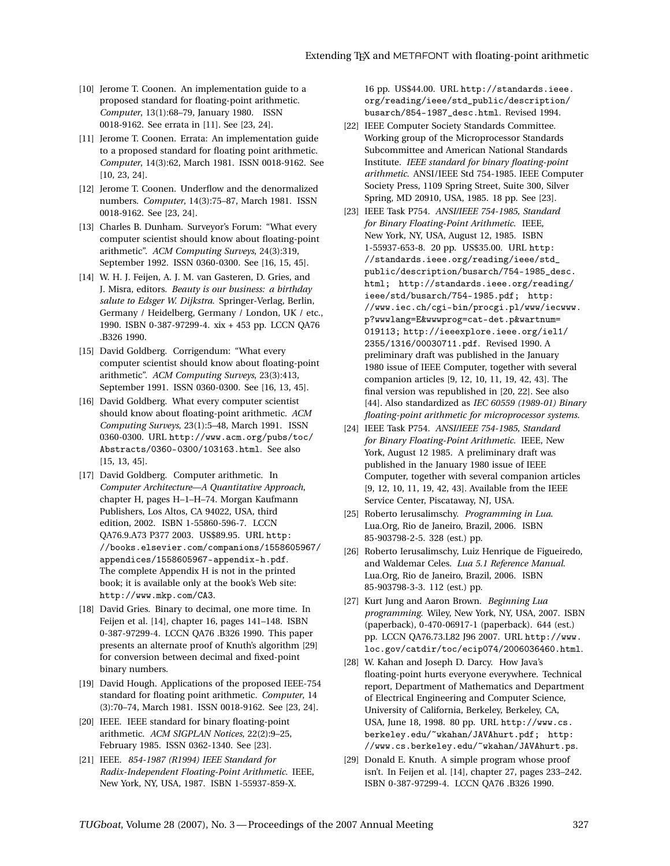- [10] Jerome T. Coonen. An implementation guide to a proposed standard for floating-point arithmetic. *Computer*, 13(1):68–79, January 1980. ISSN 0018-9162. See errata in [11]. See [23, 24].
- [11] Jerome T. Coonen. Errata: An implementation guide to a proposed standard for floating point arithmetic. *Computer*, 14(3):62, March 1981. ISSN 0018-9162. See [10, 23, 24].
- [12] Jerome T. Coonen. Underflow and the denormalized numbers. *Computer*, 14(3):75–87, March 1981. ISSN 0018-9162. See [23, 24].
- [13] Charles B. Dunham. Surveyor's Forum: "What every computer scientist should know about floating-point arithmetic". *ACM Computing Surveys*, 24(3):319, September 1992. ISSN 0360-0300. See [16, 15, 45].
- [14] W. H. J. Feijen, A. J. M. van Gasteren, D. Gries, and J. Misra, editors. *Beauty is our business: a birthday salute to Edsger W. Dijkstra*. Springer-Verlag, Berlin, Germany / Heidelberg, Germany / London, UK / etc., 1990. ISBN 0-387-97299-4. xix + 453 pp. LCCN QA76 .B326 1990.
- [15] David Goldberg. Corrigendum: "What every computer scientist should know about floating-point arithmetic". *ACM Computing Surveys*, 23(3):413, September 1991. ISSN 0360-0300. See [16, 13, 45].
- [16] David Goldberg. What every computer scientist should know about floating-point arithmetic. *ACM Computing Surveys*, 23(1):5–48, March 1991. ISSN 0360-0300. URL http://www.acm.org/pubs/toc/ Abstracts/0360-0300/103163.html. See also [15, 13, 45].
- [17] David Goldberg. Computer arithmetic. In *Computer Architecture—A Quantitative Approach*, chapter H, pages H–1–H–74. Morgan Kaufmann Publishers, Los Altos, CA 94022, USA, third edition, 2002. ISBN 1-55860-596-7. LCCN QA76.9.A73 P377 2003. US\$89.95. URL http: //books.elsevier.com/companions/1558605967/ appendices/1558605967-appendix-h.pdf. The complete Appendix H is not in the printed book; it is available only at the book's Web site: http://www.mkp.com/CA3.
- [18] David Gries. Binary to decimal, one more time. In Feijen et al. [14], chapter 16, pages 141–148. ISBN 0-387-97299-4. LCCN QA76 .B326 1990. This paper presents an alternate proof of Knuth's algorithm [29] for conversion between decimal and fixed-point binary numbers.
- [19] David Hough. Applications of the proposed IEEE-754 standard for floating point arithmetic. *Computer*, 14 (3):70–74, March 1981. ISSN 0018-9162. See [23, 24].
- [20] IEEE. IEEE standard for binary floating-point arithmetic. *ACM SIGPLAN Notices*, 22(2):9–25, February 1985. ISSN 0362-1340. See [23].
- [21] IEEE. *854-1987 (R1994) IEEE Standard for Radix-Independent Floating-Point Arithmetic*. IEEE, New York, NY, USA, 1987. ISBN 1-55937-859-X.

16 pp. US\$44.00. URL http://standards.ieee. org/reading/ieee/std\_public/description/ busarch/854-1987\_desc.html. Revised 1994.

- [22] IEEE Computer Society Standards Committee. Working group of the Microprocessor Standards Subcommittee and American National Standards Institute. *IEEE standard for binary floating-point arithmetic*. ANSI/IEEE Std 754-1985. IEEE Computer Society Press, 1109 Spring Street, Suite 300, Silver Spring, MD 20910, USA, 1985. 18 pp. See [23].
- [23] IEEE Task P754. *ANSI/IEEE 754-1985, Standard for Binary Floating-Point Arithmetic*. IEEE, New York, NY, USA, August 12, 1985. ISBN 1-55937-653-8. 20 pp. US\$35.00. URL http: //standards.ieee.org/reading/ieee/std\_ public/description/busarch/754-1985\_desc. html; http://standards.ieee.org/reading/ ieee/std/busarch/754-1985.pdf; http: //www.iec.ch/cgi-bin/procgi.pl/www/iecwww. p?wwwlang=E&wwwprog=cat-det.p&wartnum= 019113; http://ieeexplore.ieee.org/iel1/ 2355/1316/00030711.pdf. Revised 1990. A preliminary draft was published in the January 1980 issue of IEEE Computer, together with several companion articles [9, 12, 10, 11, 19, 42, 43]. The final version was republished in [20, 22]. See also [44]. Also standardized as *IEC 60559 (1989-01) Binary floating-point arithmetic for microprocessor systems*.
- [24] IEEE Task P754. *ANSI/IEEE 754-1985, Standard for Binary Floating-Point Arithmetic*. IEEE, New York, August 12 1985. A preliminary draft was published in the January 1980 issue of IEEE Computer, together with several companion articles [9, 12, 10, 11, 19, 42, 43]. Available from the IEEE Service Center, Piscataway, NJ, USA.
- [25] Roberto Ierusalimschy. *Programming in Lua*. Lua.Org, Rio de Janeiro, Brazil, 2006. ISBN 85-903798-2-5. 328 (est.) pp.
- [26] Roberto Ierusalimschy, Luiz Henrique de Figueiredo, and Waldemar Celes. *Lua 5.1 Reference Manual*. Lua.Org, Rio de Janeiro, Brazil, 2006. ISBN 85-903798-3-3. 112 (est.) pp.
- [27] Kurt Jung and Aaron Brown. *Beginning Lua programming*. Wiley, New York, NY, USA, 2007. ISBN (paperback), 0-470-06917-1 (paperback). 644 (est.) pp. LCCN QA76.73.L82 J96 2007. URL http://www. loc.gov/catdir/toc/ecip074/2006036460.html.
- [28] W. Kahan and Joseph D. Darcy. How Java's floating-point hurts everyone everywhere. Technical report, Department of Mathematics and Department of Electrical Engineering and Computer Science, University of California, Berkeley, Berkeley, CA, USA, June 18, 1998. 80 pp. URL http://www.cs. berkeley.edu/~wkahan/JAVAhurt.pdf; http: //www.cs.berkeley.edu/~wkahan/JAVAhurt.ps.
- [29] Donald E. Knuth. A simple program whose proof isn't. In Feijen et al. [14], chapter 27, pages 233–242. ISBN 0-387-97299-4. LCCN QA76 .B326 1990.